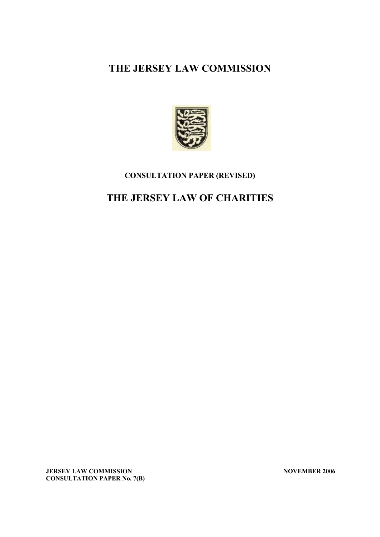# **THE JERSEY LAW COMMISSION**



## **CONSULTATION PAPER (REVISED)**

# **THE JERSEY LAW OF CHARITIES**

**JERSEY LAW COMMISSION** NOVEMBER 2006 **CONSULTATION PAPER No. 7(B)**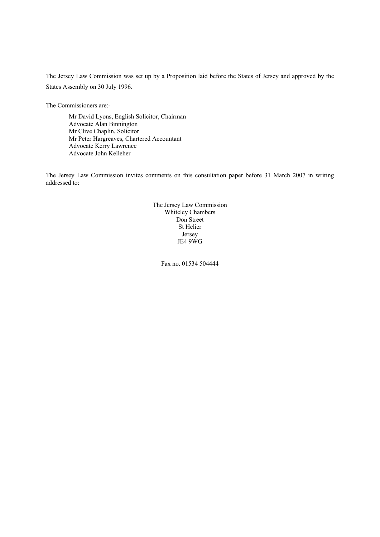The Jersey Law Commission was set up by a Proposition laid before the States of Jersey and approved by the States Assembly on 30 July 1996.

The Commissioners are:-

Mr David Lyons, English Solicitor, Chairman Advocate Alan Binnington Mr Clive Chaplin, Solicitor Mr Peter Hargreaves, Chartered Accountant Advocate Kerry Lawrence Advocate John Kelleher

The Jersey Law Commission invites comments on this consultation paper before 31 March 2007 in writing addressed to:

> The Jersey Law Commission Whiteley Chambers Don Street St Helier Jersey JE4 9WG

> > Fax no. 01534 504444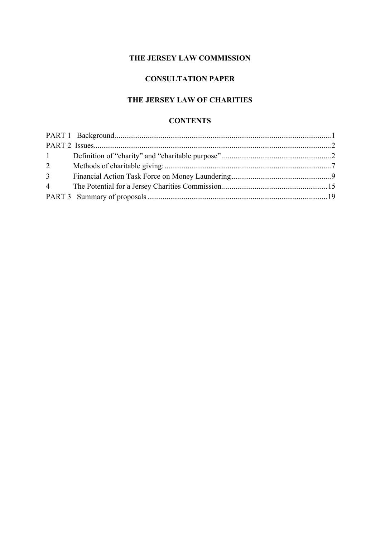## **THE JERSEY LAW COMMISSION**

# **CONSULTATION PAPER**

# **THE JERSEY LAW OF CHARITIES**

#### **CONTENTS**

| $1 \quad \blacksquare$ |  |
|------------------------|--|
| $\overline{2}$         |  |
| 3 <sup>1</sup>         |  |
|                        |  |
|                        |  |
|                        |  |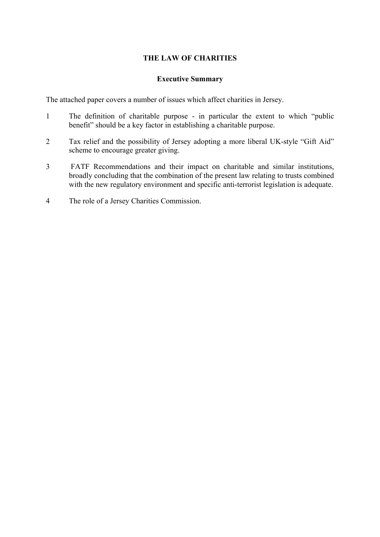## **THE LAW OF CHARITIES**

#### **Executive Summary**

The attached paper covers a number of issues which affect charities in Jersey.

- 1 The definition of charitable purpose in particular the extent to which "public benefit" should be a key factor in establishing a charitable purpose.
- 2 Tax relief and the possibility of Jersey adopting a more liberal UK-style "Gift Aid" scheme to encourage greater giving.
- 3 FATF Recommendations and their impact on charitable and similar institutions, broadly concluding that the combination of the present law relating to trusts combined with the new regulatory environment and specific anti-terrorist legislation is adequate.
- 4 The role of a Jersey Charities Commission.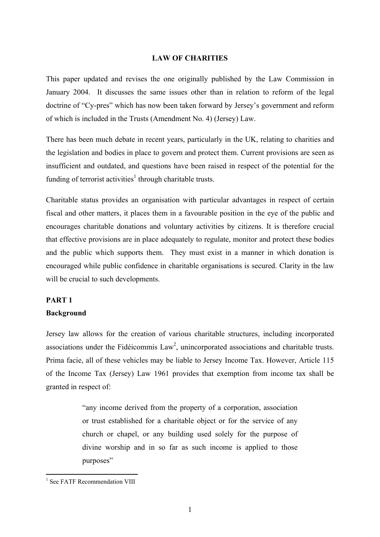#### **LAW OF CHARITIES**

This paper updated and revises the one originally published by the Law Commission in January 2004. It discusses the same issues other than in relation to reform of the legal doctrine of "Cy-pres" which has now been taken forward by Jersey's government and reform of which is included in the Trusts (Amendment No. 4) (Jersey) Law.

There has been much debate in recent years, particularly in the UK, relating to charities and the legislation and bodies in place to govern and protect them. Current provisions are seen as insufficient and outdated, and questions have been raised in respect of the potential for the funding of terrorist activities<sup>1</sup> through charitable trusts.

Charitable status provides an organisation with particular advantages in respect of certain fiscal and other matters, it places them in a favourable position in the eye of the public and encourages charitable donations and voluntary activities by citizens. It is therefore crucial that effective provisions are in place adequately to regulate, monitor and protect these bodies and the public which supports them. They must exist in a manner in which donation is encouraged while public confidence in charitable organisations is secured. Clarity in the law will be crucial to such developments.

#### **PART 1**

#### **Background**

Jersey law allows for the creation of various charitable structures, including incorporated associations under the Fidéicommis  $Law^2$ , unincorporated associations and charitable trusts. Prima facie, all of these vehicles may be liable to Jersey Income Tax. However, Article 115 of the Income Tax (Jersey) Law 1961 provides that exemption from income tax shall be granted in respect of:

> "any income derived from the property of a corporation, association or trust established for a charitable object or for the service of any church or chapel, or any building used solely for the purpose of divine worship and in so far as such income is applied to those purposes"

1

<sup>&</sup>lt;sup>1</sup> See FATF Recommendation VIII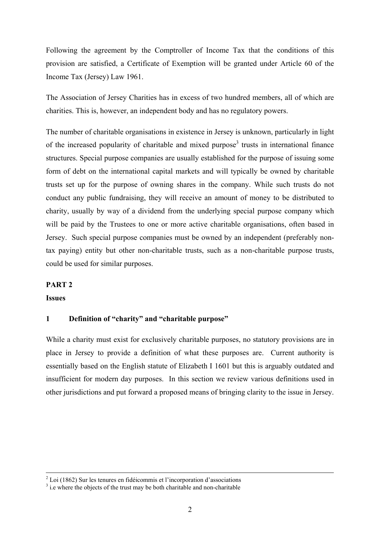Following the agreement by the Comptroller of Income Tax that the conditions of this provision are satisfied, a Certificate of Exemption will be granted under Article 60 of the Income Tax (Jersey) Law 1961.

The Association of Jersey Charities has in excess of two hundred members, all of which are charities. This is, however, an independent body and has no regulatory powers.

The number of charitable organisations in existence in Jersey is unknown, particularly in light of the increased popularity of charitable and mixed purpose<sup>3</sup> trusts in international finance structures. Special purpose companies are usually established for the purpose of issuing some form of debt on the international capital markets and will typically be owned by charitable trusts set up for the purpose of owning shares in the company. While such trusts do not conduct any public fundraising, they will receive an amount of money to be distributed to charity, usually by way of a dividend from the underlying special purpose company which will be paid by the Trustees to one or more active charitable organisations, often based in Jersey. Such special purpose companies must be owned by an independent (preferably nontax paying) entity but other non-charitable trusts, such as a non-charitable purpose trusts, could be used for similar purposes.

#### **PART 2**

#### **Issues**

#### **1 Definition of "charity" and "charitable purpose"**

While a charity must exist for exclusively charitable purposes, no statutory provisions are in place in Jersey to provide a definition of what these purposes are. Current authority is essentially based on the English statute of Elizabeth I 1601 but this is arguably outdated and insufficient for modern day purposes. In this section we review various definitions used in other jurisdictions and put forward a proposed means of bringing clarity to the issue in Jersey.

 $\frac{1}{2}$  $2^2$  Loi (1862) Sur les tenures en fidéicommis et l'incorporation d'associations

 $\beta$  i.e where the objects of the trust may be both charitable and non-charitable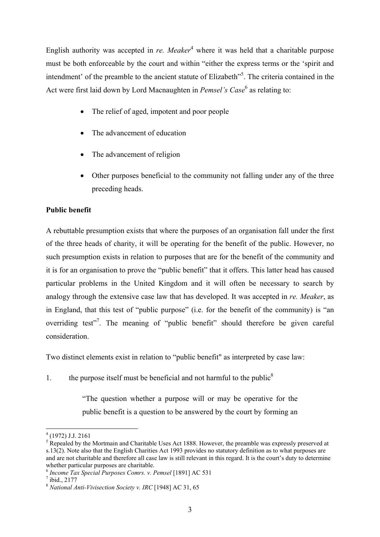English authority was accepted in *re. Meaker*<sup>4</sup> where it was held that a charitable purpose must be both enforceable by the court and within "either the express terms or the 'spirit and intendment' of the preamble to the ancient statute of Elizabeth<sup>"5</sup>. The criteria contained in the Act were first laid down by Lord Macnaughten in *Pemsel's Case*<sup>6</sup> as relating to:

- The relief of aged, impotent and poor people
- The advancement of education
- The advancement of religion
- Other purposes beneficial to the community not falling under any of the three preceding heads.

## **Public benefit**

A rebuttable presumption exists that where the purposes of an organisation fall under the first of the three heads of charity, it will be operating for the benefit of the public. However, no such presumption exists in relation to purposes that are for the benefit of the community and it is for an organisation to prove the "public benefit" that it offers. This latter head has caused particular problems in the United Kingdom and it will often be necessary to search by analogy through the extensive case law that has developed. It was accepted in *re. Meaker*, as in England, that this test of "public purpose" (i.e. for the benefit of the community) is "an overriding test"<sup>7</sup>. The meaning of "public benefit" should therefore be given careful consideration.

Two distinct elements exist in relation to "public benefit" as interpreted by case law:

1. the purpose itself must be beneficial and not harmful to the public<sup>8</sup>

"The question whether a purpose will or may be operative for the public benefit is a question to be answered by the court by forming an

1

<sup>4</sup> (1972) J.J. 2161

<sup>&</sup>lt;sup>5</sup> Repealed by the Mortmain and Charitable Uses Act 1888. However, the preamble was expressly preserved at s.13(2). Note also that the English Charities Act 1993 provides no statutory definition as to what purposes are and are not charitable and therefore all case law is still relevant in this regard. It is the court's duty to determine whether particular purposes are charitable.

<sup>6</sup> *Income Tax Special Purposes Comrs. v. Pemsel* [1891] AC 531 7

 $\frac{1}{10}$ ibid., 2177

<sup>8</sup> *National Anti-Vivisection Society v. IRC* [1948] AC 31, 65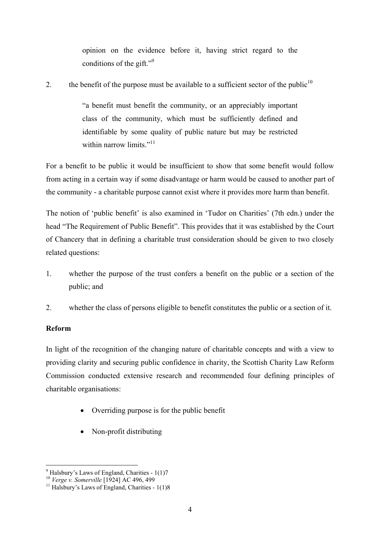opinion on the evidence before it, having strict regard to the conditions of the gift." $\frac{9}{2}$ 

2. the benefit of the purpose must be available to a sufficient sector of the public<sup>10</sup>

"a benefit must benefit the community, or an appreciably important class of the community, which must be sufficiently defined and identifiable by some quality of public nature but may be restricted within narrow limits. $11$ <sup>11</sup>

For a benefit to be public it would be insufficient to show that some benefit would follow from acting in a certain way if some disadvantage or harm would be caused to another part of the community - a charitable purpose cannot exist where it provides more harm than benefit.

The notion of 'public benefit' is also examined in 'Tudor on Charities' (7th edn.) under the head "The Requirement of Public Benefit". This provides that it was established by the Court of Chancery that in defining a charitable trust consideration should be given to two closely related questions:

- 1. whether the purpose of the trust confers a benefit on the public or a section of the public; and
- 2. whether the class of persons eligible to benefit constitutes the public or a section of it.

## **Reform**

In light of the recognition of the changing nature of charitable concepts and with a view to providing clarity and securing public confidence in charity, the Scottish Charity Law Reform Commission conducted extensive research and recommended four defining principles of charitable organisations:

- Overriding purpose is for the public benefit
- Non-profit distributing

 9 Halsbury's Laws of England, Charities - 1(1)7

<sup>&</sup>lt;sup>10</sup> *Verge v. Somerville* [1924] AC 496, 499<br><sup>11</sup> Halsbury's Laws of England, Charities - 1(1)8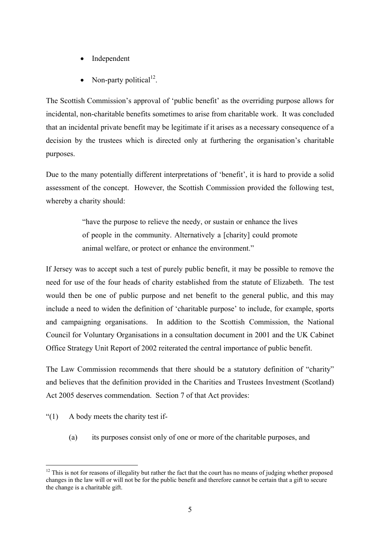- **Independent**
- Non-party political<sup>12</sup>.

The Scottish Commission's approval of 'public benefit' as the overriding purpose allows for incidental, non-charitable benefits sometimes to arise from charitable work. It was concluded that an incidental private benefit may be legitimate if it arises as a necessary consequence of a decision by the trustees which is directed only at furthering the organisation's charitable purposes.

Due to the many potentially different interpretations of 'benefit', it is hard to provide a solid assessment of the concept. However, the Scottish Commission provided the following test, whereby a charity should:

> "have the purpose to relieve the needy, or sustain or enhance the lives of people in the community. Alternatively a [charity] could promote animal welfare, or protect or enhance the environment."

If Jersey was to accept such a test of purely public benefit, it may be possible to remove the need for use of the four heads of charity established from the statute of Elizabeth. The test would then be one of public purpose and net benefit to the general public, and this may include a need to widen the definition of 'charitable purpose' to include, for example, sports and campaigning organisations. In addition to the Scottish Commission, the National Council for Voluntary Organisations in a consultation document in 2001 and the UK Cabinet Office Strategy Unit Report of 2002 reiterated the central importance of public benefit.

The Law Commission recommends that there should be a statutory definition of "charity" and believes that the definition provided in the Charities and Trustees Investment (Scotland) Act 2005 deserves commendation. Section 7 of that Act provides:

- "(1) A body meets the charity test if-
	- (a) its purposes consist only of one or more of the charitable purposes, and

<sup>1</sup>  $12$  This is not for reasons of illegality but rather the fact that the court has no means of judging whether proposed changes in the law will or will not be for the public benefit and therefore cannot be certain that a gift to secure the change is a charitable gift.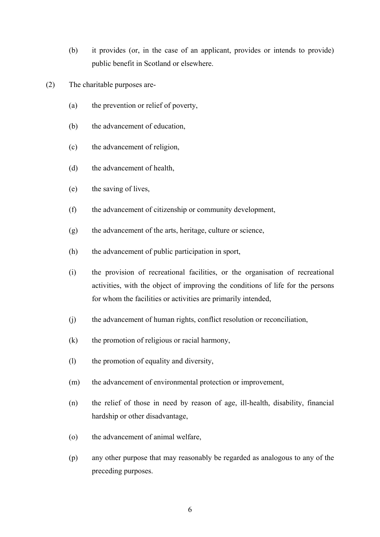- (b) it provides (or, in the case of an applicant, provides or intends to provide) public benefit in Scotland or elsewhere.
- (2) The charitable purposes are-
	- (a) the prevention or relief of poverty,
	- (b) the advancement of education,
	- (c) the advancement of religion,
	- (d) the advancement of health,
	- (e) the saving of lives,
	- (f) the advancement of citizenship or community development,
	- (g) the advancement of the arts, heritage, culture or science,
	- (h) the advancement of public participation in sport,
	- (i) the provision of recreational facilities, or the organisation of recreational activities, with the object of improving the conditions of life for the persons for whom the facilities or activities are primarily intended,
	- (j) the advancement of human rights, conflict resolution or reconciliation,
	- (k) the promotion of religious or racial harmony,
	- (l) the promotion of equality and diversity,
	- (m) the advancement of environmental protection or improvement,
	- (n) the relief of those in need by reason of age, ill-health, disability, financial hardship or other disadvantage,
	- (o) the advancement of animal welfare,
	- (p) any other purpose that may reasonably be regarded as analogous to any of the preceding purposes.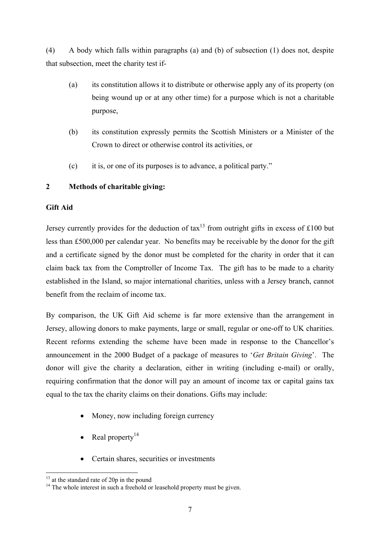(4) A body which falls within paragraphs (a) and (b) of subsection (1) does not, despite that subsection, meet the charity test if-

- (a) its constitution allows it to distribute or otherwise apply any of its property (on being wound up or at any other time) for a purpose which is not a charitable purpose,
- (b) its constitution expressly permits the Scottish Ministers or a Minister of the Crown to direct or otherwise control its activities, or
- (c) it is, or one of its purposes is to advance, a political party."

## **2 Methods of charitable giving:**

## **Gift Aid**

Jersey currently provides for the deduction of  $\text{tax}^{13}$  from outright gifts in excess of £100 but less than £500,000 per calendar year. No benefits may be receivable by the donor for the gift and a certificate signed by the donor must be completed for the charity in order that it can claim back tax from the Comptroller of Income Tax. The gift has to be made to a charity established in the Island, so major international charities, unless with a Jersey branch, cannot benefit from the reclaim of income tax.

By comparison, the UK Gift Aid scheme is far more extensive than the arrangement in Jersey, allowing donors to make payments, large or small, regular or one-off to UK charities. Recent reforms extending the scheme have been made in response to the Chancellor's announcement in the 2000 Budget of a package of measures to '*Get Britain Giving*'. The donor will give the charity a declaration, either in writing (including e-mail) or orally, requiring confirmation that the donor will pay an amount of income tax or capital gains tax equal to the tax the charity claims on their donations. Gifts may include:

- Money, now including foreign currency
- Real property<sup>14</sup>
- Certain shares, securities or investments

1

 $13$  at the standard rate of 20p in the pound

<sup>&</sup>lt;sup>14</sup> The whole interest in such a freehold or leasehold property must be given.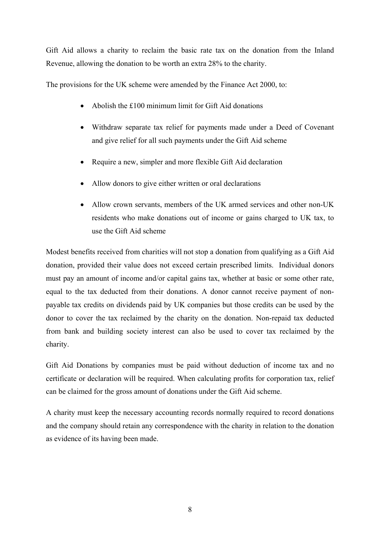Gift Aid allows a charity to reclaim the basic rate tax on the donation from the Inland Revenue, allowing the donation to be worth an extra 28% to the charity.

The provisions for the UK scheme were amended by the Finance Act 2000, to:

- Abolish the £100 minimum limit for Gift Aid donations
- Withdraw separate tax relief for payments made under a Deed of Covenant and give relief for all such payments under the Gift Aid scheme
- Require a new, simpler and more flexible Gift Aid declaration
- Allow donors to give either written or oral declarations
- Allow crown servants, members of the UK armed services and other non-UK residents who make donations out of income or gains charged to UK tax, to use the Gift Aid scheme

Modest benefits received from charities will not stop a donation from qualifying as a Gift Aid donation, provided their value does not exceed certain prescribed limits. Individual donors must pay an amount of income and/or capital gains tax, whether at basic or some other rate, equal to the tax deducted from their donations. A donor cannot receive payment of nonpayable tax credits on dividends paid by UK companies but those credits can be used by the donor to cover the tax reclaimed by the charity on the donation. Non-repaid tax deducted from bank and building society interest can also be used to cover tax reclaimed by the charity.

Gift Aid Donations by companies must be paid without deduction of income tax and no certificate or declaration will be required. When calculating profits for corporation tax, relief can be claimed for the gross amount of donations under the Gift Aid scheme.

A charity must keep the necessary accounting records normally required to record donations and the company should retain any correspondence with the charity in relation to the donation as evidence of its having been made.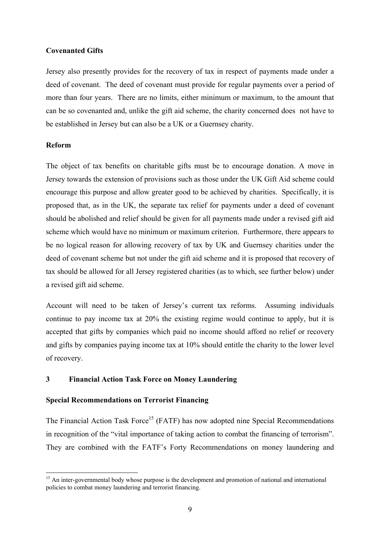#### **Covenanted Gifts**

Jersey also presently provides for the recovery of tax in respect of payments made under a deed of covenant. The deed of covenant must provide for regular payments over a period of more than four years. There are no limits, either minimum or maximum, to the amount that can be so covenanted and, unlike the gift aid scheme, the charity concerned does not have to be established in Jersey but can also be a UK or a Guernsey charity.

#### **Reform**

The object of tax benefits on charitable gifts must be to encourage donation. A move in Jersey towards the extension of provisions such as those under the UK Gift Aid scheme could encourage this purpose and allow greater good to be achieved by charities. Specifically, it is proposed that, as in the UK, the separate tax relief for payments under a deed of covenant should be abolished and relief should be given for all payments made under a revised gift aid scheme which would have no minimum or maximum criterion. Furthermore, there appears to be no logical reason for allowing recovery of tax by UK and Guernsey charities under the deed of covenant scheme but not under the gift aid scheme and it is proposed that recovery of tax should be allowed for all Jersey registered charities (as to which, see further below) under a revised gift aid scheme.

Account will need to be taken of Jersey's current tax reforms. Assuming individuals continue to pay income tax at 20% the existing regime would continue to apply, but it is accepted that gifts by companies which paid no income should afford no relief or recovery and gifts by companies paying income tax at 10% should entitle the charity to the lower level of recovery.

## **3 Financial Action Task Force on Money Laundering**

#### **Special Recommendations on Terrorist Financing**

The Financial Action Task Force<sup>15</sup> (FATF) has now adopted nine Special Recommendations in recognition of the "vital importance of taking action to combat the financing of terrorism". They are combined with the FATF's Forty Recommendations on money laundering and

<sup>1</sup> <sup>15</sup> An inter-governmental body whose purpose is the development and promotion of national and international policies to combat money laundering and terrorist financing.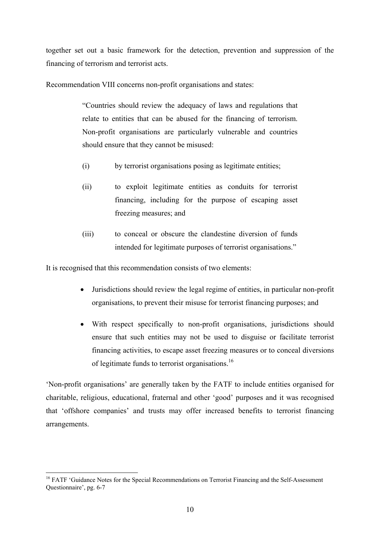together set out a basic framework for the detection, prevention and suppression of the financing of terrorism and terrorist acts.

Recommendation VIII concerns non-profit organisations and states:

"Countries should review the adequacy of laws and regulations that relate to entities that can be abused for the financing of terrorism. Non-profit organisations are particularly vulnerable and countries should ensure that they cannot be misused:

- (i) by terrorist organisations posing as legitimate entities;
- (ii) to exploit legitimate entities as conduits for terrorist financing, including for the purpose of escaping asset freezing measures; and
- (iii) to conceal or obscure the clandestine diversion of funds intended for legitimate purposes of terrorist organisations."

It is recognised that this recommendation consists of two elements:

- Jurisdictions should review the legal regime of entities, in particular non-profit organisations, to prevent their misuse for terrorist financing purposes; and
- With respect specifically to non-profit organisations, jurisdictions should ensure that such entities may not be used to disguise or facilitate terrorist financing activities, to escape asset freezing measures or to conceal diversions of legitimate funds to terrorist organisations.<sup>16</sup>

'Non-profit organisations' are generally taken by the FATF to include entities organised for charitable, religious, educational, fraternal and other 'good' purposes and it was recognised that 'offshore companies' and trusts may offer increased benefits to terrorist financing arrangements.

<sup>1</sup> <sup>16</sup> FATF 'Guidance Notes for the Special Recommendations on Terrorist Financing and the Self-Assessment Questionnaire', pg. 6-7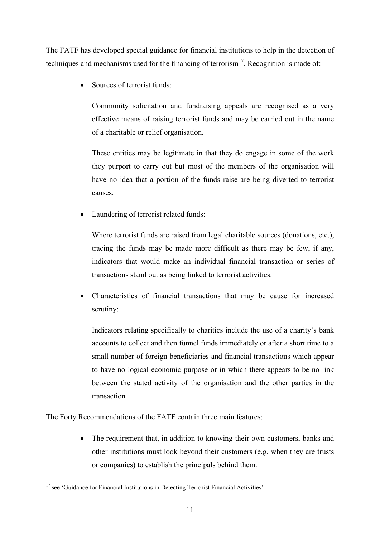The FATF has developed special guidance for financial institutions to help in the detection of techniques and mechanisms used for the financing of terrorism<sup>17</sup>. Recognition is made of:

Sources of terrorist funds:

Community solicitation and fundraising appeals are recognised as a very effective means of raising terrorist funds and may be carried out in the name of a charitable or relief organisation.

These entities may be legitimate in that they do engage in some of the work they purport to carry out but most of the members of the organisation will have no idea that a portion of the funds raise are being diverted to terrorist causes.

• Laundering of terrorist related funds:

Where terrorist funds are raised from legal charitable sources (donations, etc.), tracing the funds may be made more difficult as there may be few, if any, indicators that would make an individual financial transaction or series of transactions stand out as being linked to terrorist activities.

• Characteristics of financial transactions that may be cause for increased scrutiny:

Indicators relating specifically to charities include the use of a charity's bank accounts to collect and then funnel funds immediately or after a short time to a small number of foreign beneficiaries and financial transactions which appear to have no logical economic purpose or in which there appears to be no link between the stated activity of the organisation and the other parties in the transaction

The Forty Recommendations of the FATF contain three main features:

• The requirement that, in addition to knowing their own customers, banks and other institutions must look beyond their customers (e.g. when they are trusts or companies) to establish the principals behind them.

<sup>1</sup> <sup>17</sup> see 'Guidance for Financial Institutions in Detecting Terrorist Financial Activities'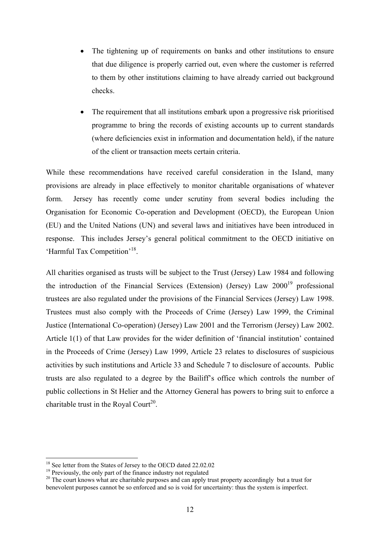- The tightening up of requirements on banks and other institutions to ensure that due diligence is properly carried out, even where the customer is referred to them by other institutions claiming to have already carried out background checks.
- The requirement that all institutions embark upon a progressive risk prioritised programme to bring the records of existing accounts up to current standards (where deficiencies exist in information and documentation held), if the nature of the client or transaction meets certain criteria.

While these recommendations have received careful consideration in the Island, many provisions are already in place effectively to monitor charitable organisations of whatever form. Jersey has recently come under scrutiny from several bodies including the Organisation for Economic Co-operation and Development (OECD), the European Union (EU) and the United Nations (UN) and several laws and initiatives have been introduced in response. This includes Jersey's general political commitment to the OECD initiative on 'Harmful Tax Competition'18.

All charities organised as trusts will be subject to the Trust (Jersey) Law 1984 and following the introduction of the Financial Services (Extension) (Jersey) Law 2000<sup>19</sup> professional trustees are also regulated under the provisions of the Financial Services (Jersey) Law 1998. Trustees must also comply with the Proceeds of Crime (Jersey) Law 1999, the Criminal Justice (International Co-operation) (Jersey) Law 2001 and the Terrorism (Jersey) Law 2002. Article 1(1) of that Law provides for the wider definition of 'financial institution' contained in the Proceeds of Crime (Jersey) Law 1999, Article 23 relates to disclosures of suspicious activities by such institutions and Article 33 and Schedule 7 to disclosure of accounts. Public trusts are also regulated to a degree by the Bailiff's office which controls the number of public collections in St Helier and the Attorney General has powers to bring suit to enforce a charitable trust in the Royal Court<sup>20</sup>.

<sup>&</sup>lt;sup>18</sup> See letter from the States of Jersey to the OECD dated 22.02.02

<sup>&</sup>lt;sup>19</sup> Previously, the only part of the finance industry not regulated

<sup>&</sup>lt;sup>20</sup> The court knows what are charitable purposes and can apply trust property accordingly but a trust for benevolent purposes cannot be so enforced and so is void for uncertainty: thus the system is imperfect.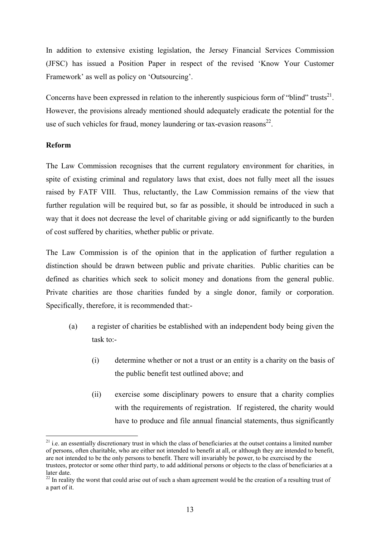In addition to extensive existing legislation, the Jersey Financial Services Commission (JFSC) has issued a Position Paper in respect of the revised 'Know Your Customer Framework' as well as policy on 'Outsourcing'.

Concerns have been expressed in relation to the inherently suspicious form of "blind" trusts $^{21}$ . However, the provisions already mentioned should adequately eradicate the potential for the use of such vehicles for fraud, money laundering or tax-evasion reasons $^{22}$ .

#### **Reform**

1

The Law Commission recognises that the current regulatory environment for charities, in spite of existing criminal and regulatory laws that exist, does not fully meet all the issues raised by FATF VIII. Thus, reluctantly, the Law Commission remains of the view that further regulation will be required but, so far as possible, it should be introduced in such a way that it does not decrease the level of charitable giving or add significantly to the burden of cost suffered by charities, whether public or private.

The Law Commission is of the opinion that in the application of further regulation a distinction should be drawn between public and private charities. Public charities can be defined as charities which seek to solicit money and donations from the general public. Private charities are those charities funded by a single donor, family or corporation. Specifically, therefore, it is recommended that:-

- (a) a register of charities be established with an independent body being given the task to:-
	- (i) determine whether or not a trust or an entity is a charity on the basis of the public benefit test outlined above; and
	- (ii) exercise some disciplinary powers to ensure that a charity complies with the requirements of registration. If registered, the charity would have to produce and file annual financial statements, thus significantly

 $21$  i.e. an essentially discretionary trust in which the class of beneficiaries at the outset contains a limited number of persons, often charitable, who are either not intended to benefit at all, or although they are intended to benefit, are not intended to be the only persons to benefit. There will invariably be power, to be exercised by the trustees, protector or some other third party, to add additional persons or objects to the class of beneficiaries at a later date.

<sup>&</sup>lt;sup>22</sup> In reality the worst that could arise out of such a sham agreement would be the creation of a resulting trust of a part of it.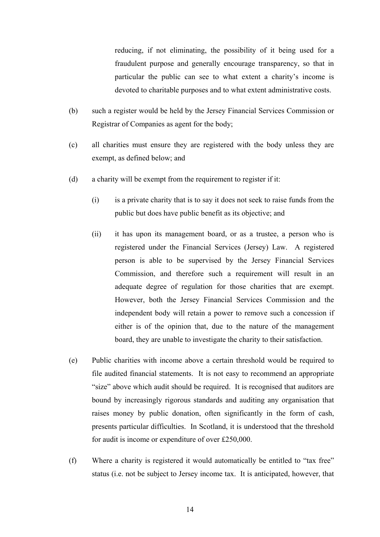reducing, if not eliminating, the possibility of it being used for a fraudulent purpose and generally encourage transparency, so that in particular the public can see to what extent a charity's income is devoted to charitable purposes and to what extent administrative costs.

- (b) such a register would be held by the Jersey Financial Services Commission or Registrar of Companies as agent for the body;
- (c) all charities must ensure they are registered with the body unless they are exempt, as defined below; and
- (d) a charity will be exempt from the requirement to register if it:
	- (i) is a private charity that is to say it does not seek to raise funds from the public but does have public benefit as its objective; and
	- (ii) it has upon its management board, or as a trustee, a person who is registered under the Financial Services (Jersey) Law. A registered person is able to be supervised by the Jersey Financial Services Commission, and therefore such a requirement will result in an adequate degree of regulation for those charities that are exempt. However, both the Jersey Financial Services Commission and the independent body will retain a power to remove such a concession if either is of the opinion that, due to the nature of the management board, they are unable to investigate the charity to their satisfaction.
- (e) Public charities with income above a certain threshold would be required to file audited financial statements. It is not easy to recommend an appropriate "size" above which audit should be required. It is recognised that auditors are bound by increasingly rigorous standards and auditing any organisation that raises money by public donation, often significantly in the form of cash, presents particular difficulties. In Scotland, it is understood that the threshold for audit is income or expenditure of over £250,000.
- (f) Where a charity is registered it would automatically be entitled to "tax free" status (i.e. not be subject to Jersey income tax. It is anticipated, however, that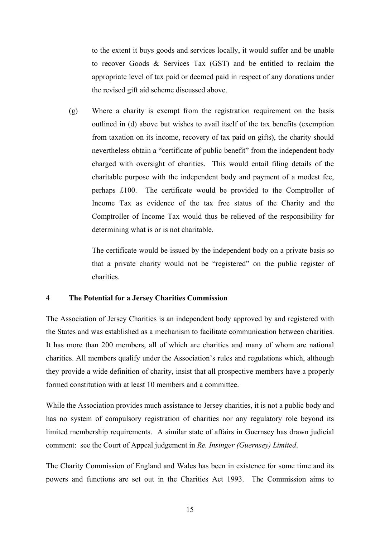to the extent it buys goods and services locally, it would suffer and be unable to recover Goods & Services Tax (GST) and be entitled to reclaim the appropriate level of tax paid or deemed paid in respect of any donations under the revised gift aid scheme discussed above.

(g) Where a charity is exempt from the registration requirement on the basis outlined in (d) above but wishes to avail itself of the tax benefits (exemption from taxation on its income, recovery of tax paid on gifts), the charity should nevertheless obtain a "certificate of public benefit" from the independent body charged with oversight of charities. This would entail filing details of the charitable purpose with the independent body and payment of a modest fee, perhaps £100. The certificate would be provided to the Comptroller of Income Tax as evidence of the tax free status of the Charity and the Comptroller of Income Tax would thus be relieved of the responsibility for determining what is or is not charitable.

The certificate would be issued by the independent body on a private basis so that a private charity would not be "registered" on the public register of charities.

#### **4 The Potential for a Jersey Charities Commission**

The Association of Jersey Charities is an independent body approved by and registered with the States and was established as a mechanism to facilitate communication between charities. It has more than 200 members, all of which are charities and many of whom are national charities. All members qualify under the Association's rules and regulations which, although they provide a wide definition of charity, insist that all prospective members have a properly formed constitution with at least 10 members and a committee.

While the Association provides much assistance to Jersey charities, it is not a public body and has no system of compulsory registration of charities nor any regulatory role beyond its limited membership requirements. A similar state of affairs in Guernsey has drawn judicial comment: see the Court of Appeal judgement in *Re. Insinger (Guernsey) Limited*.

The Charity Commission of England and Wales has been in existence for some time and its powers and functions are set out in the Charities Act 1993. The Commission aims to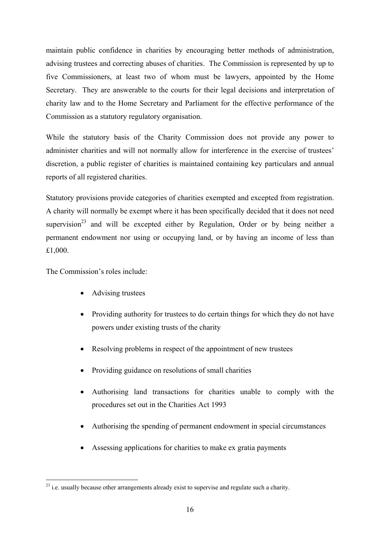maintain public confidence in charities by encouraging better methods of administration, advising trustees and correcting abuses of charities. The Commission is represented by up to five Commissioners, at least two of whom must be lawyers, appointed by the Home Secretary. They are answerable to the courts for their legal decisions and interpretation of charity law and to the Home Secretary and Parliament for the effective performance of the Commission as a statutory regulatory organisation.

While the statutory basis of the Charity Commission does not provide any power to administer charities and will not normally allow for interference in the exercise of trustees' discretion, a public register of charities is maintained containing key particulars and annual reports of all registered charities.

Statutory provisions provide categories of charities exempted and excepted from registration. A charity will normally be exempt where it has been specifically decided that it does not need supervision<sup>23</sup> and will be excepted either by Regulation, Order or by being neither a permanent endowment nor using or occupying land, or by having an income of less than £1,000.

The Commission's roles include:

1

- Advising trustees
- Providing authority for trustees to do certain things for which they do not have powers under existing trusts of the charity
- Resolving problems in respect of the appointment of new trustees
- Providing guidance on resolutions of small charities
- Authorising land transactions for charities unable to comply with the procedures set out in the Charities Act 1993
- Authorising the spending of permanent endowment in special circumstances
- Assessing applications for charities to make ex gratia payments

 $^{23}$  i.e. usually because other arrangements already exist to supervise and regulate such a charity.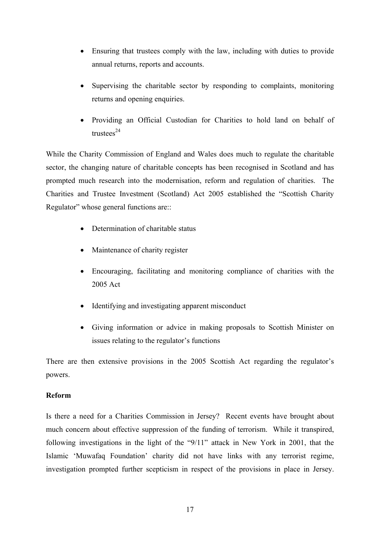- Ensuring that trustees comply with the law, including with duties to provide annual returns, reports and accounts.
- Supervising the charitable sector by responding to complaints, monitoring returns and opening enquiries.
- Providing an Official Custodian for Charities to hold land on behalf of  $tnustees<sup>24</sup>$

While the Charity Commission of England and Wales does much to regulate the charitable sector, the changing nature of charitable concepts has been recognised in Scotland and has prompted much research into the modernisation, reform and regulation of charities. The Charities and Trustee Investment (Scotland) Act 2005 established the "Scottish Charity Regulator" whose general functions are::

- Determination of charitable status
- Maintenance of charity register
- Encouraging, facilitating and monitoring compliance of charities with the 2005 Act
- Identifying and investigating apparent misconduct
- Giving information or advice in making proposals to Scottish Minister on issues relating to the regulator's functions

There are then extensive provisions in the 2005 Scottish Act regarding the regulator's powers.

## **Reform**

Is there a need for a Charities Commission in Jersey? Recent events have brought about much concern about effective suppression of the funding of terrorism. While it transpired, following investigations in the light of the "9/11" attack in New York in 2001, that the Islamic 'Muwafaq Foundation' charity did not have links with any terrorist regime, investigation prompted further scepticism in respect of the provisions in place in Jersey.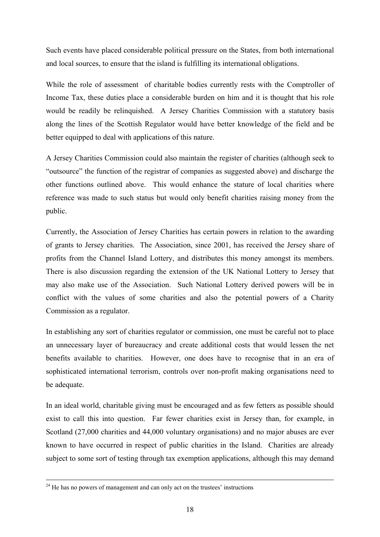Such events have placed considerable political pressure on the States, from both international and local sources, to ensure that the island is fulfilling its international obligations.

While the role of assessment of charitable bodies currently rests with the Comptroller of Income Tax, these duties place a considerable burden on him and it is thought that his role would be readily be relinquished. A Jersey Charities Commission with a statutory basis along the lines of the Scottish Regulator would have better knowledge of the field and be better equipped to deal with applications of this nature.

A Jersey Charities Commission could also maintain the register of charities (although seek to "outsource" the function of the registrar of companies as suggested above) and discharge the other functions outlined above. This would enhance the stature of local charities where reference was made to such status but would only benefit charities raising money from the public.

Currently, the Association of Jersey Charities has certain powers in relation to the awarding of grants to Jersey charities. The Association, since 2001, has received the Jersey share of profits from the Channel Island Lottery, and distributes this money amongst its members. There is also discussion regarding the extension of the UK National Lottery to Jersey that may also make use of the Association. Such National Lottery derived powers will be in conflict with the values of some charities and also the potential powers of a Charity Commission as a regulator.

In establishing any sort of charities regulator or commission, one must be careful not to place an unnecessary layer of bureaucracy and create additional costs that would lessen the net benefits available to charities. However, one does have to recognise that in an era of sophisticated international terrorism, controls over non-profit making organisations need to be adequate.

In an ideal world, charitable giving must be encouraged and as few fetters as possible should exist to call this into question. Far fewer charities exist in Jersey than, for example, in Scotland (27,000 charities and 44,000 voluntary organisations) and no major abuses are ever known to have occurred in respect of public charities in the Island. Charities are already subject to some sort of testing through tax exemption applications, although this may demand

 $24$  He has no powers of management and can only act on the trustees' instructions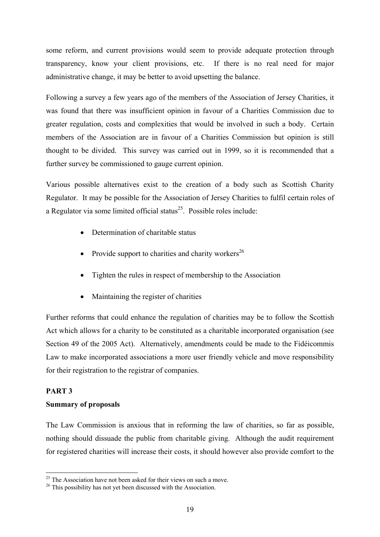some reform, and current provisions would seem to provide adequate protection through transparency, know your client provisions, etc. If there is no real need for major administrative change, it may be better to avoid upsetting the balance.

Following a survey a few years ago of the members of the Association of Jersey Charities, it was found that there was insufficient opinion in favour of a Charities Commission due to greater regulation, costs and complexities that would be involved in such a body. Certain members of the Association are in favour of a Charities Commission but opinion is still thought to be divided. This survey was carried out in 1999, so it is recommended that a further survey be commissioned to gauge current opinion.

Various possible alternatives exist to the creation of a body such as Scottish Charity Regulator. It may be possible for the Association of Jersey Charities to fulfil certain roles of a Regulator via some limited official status<sup>25</sup>. Possible roles include:

- Determination of charitable status
- Provide support to charities and charity workers<sup>26</sup>
- Tighten the rules in respect of membership to the Association
- Maintaining the register of charities

Further reforms that could enhance the regulation of charities may be to follow the Scottish Act which allows for a charity to be constituted as a charitable incorporated organisation (see Section 49 of the 2005 Act). Alternatively, amendments could be made to the Fidéicommis Law to make incorporated associations a more user friendly vehicle and move responsibility for their registration to the registrar of companies.

## **PART 3**

1

## **Summary of proposals**

The Law Commission is anxious that in reforming the law of charities, so far as possible, nothing should dissuade the public from charitable giving. Although the audit requirement for registered charities will increase their costs, it should however also provide comfort to the

 $25$  The Association have not been asked for their views on such a move.

<sup>&</sup>lt;sup>26</sup> This possibility has not yet been discussed with the Association.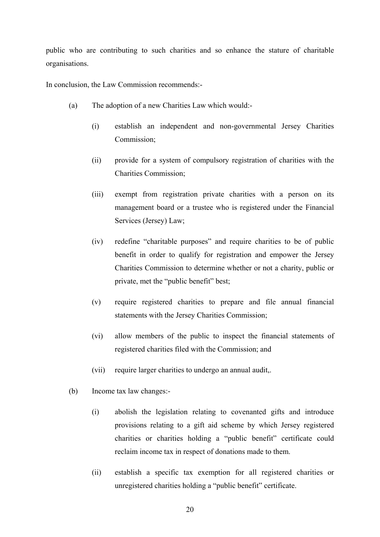public who are contributing to such charities and so enhance the stature of charitable organisations.

In conclusion, the Law Commission recommends:-

- (a) The adoption of a new Charities Law which would:-
	- (i) establish an independent and non-governmental Jersey Charities Commission;
	- (ii) provide for a system of compulsory registration of charities with the Charities Commission;
	- (iii) exempt from registration private charities with a person on its management board or a trustee who is registered under the Financial Services (Jersey) Law;
	- (iv) redefine "charitable purposes" and require charities to be of public benefit in order to qualify for registration and empower the Jersey Charities Commission to determine whether or not a charity, public or private, met the "public benefit" best;
	- (v) require registered charities to prepare and file annual financial statements with the Jersey Charities Commission;
	- (vi) allow members of the public to inspect the financial statements of registered charities filed with the Commission; and
	- (vii) require larger charities to undergo an annual audit,.
- (b) Income tax law changes:-
	- (i) abolish the legislation relating to covenanted gifts and introduce provisions relating to a gift aid scheme by which Jersey registered charities or charities holding a "public benefit" certificate could reclaim income tax in respect of donations made to them.
	- (ii) establish a specific tax exemption for all registered charities or unregistered charities holding a "public benefit" certificate.